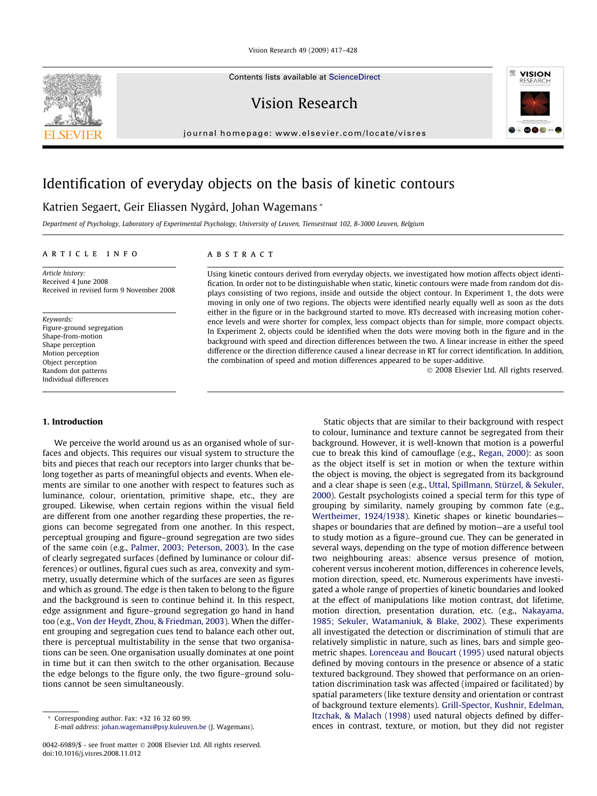Vision Research 49 (2009) 417–428

Contents lists available at [ScienceDirect](http://www.sciencedirect.com/science/journal/00426989)

Vision Research

journal homepage: [www.elsevier.com/locate/visres](http://www.elsevier.com/locate/visres)

# Identification of everyday objects on the basis of kinetic contours

## Katrien Segaert, Geir Eliassen Nygård, Johan Wagemans \*

Department of Psychology, Laboratory of Experimental Psychology, University of Leuven, Tiensestraat 102, B-3000 Leuven, Belgium

#### article info

Article history: Received 4 June 2008 Received in revised form 9 November 2008

Keywords: Figure-ground segregation Shape-from-motion Shape perception Motion perception Object perception Random dot patterns Individual differences

## 1. Introduction

We perceive the world around us as an organised whole of surfaces and objects. This requires our visual system to structure the bits and pieces that reach our receptors into larger chunks that belong together as parts of meaningful objects and events. When elements are similar to one another with respect to features such as luminance, colour, orientation, primitive shape, etc., they are grouped. Likewise, when certain regions within the visual field are different from one another regarding these properties, the regions can become segregated from one another. In this respect, perceptual grouping and figure–ground segregation are two sides of the same coin (e.g., [Palmer, 2003; Peterson, 2003\)](#page-11-0). In the case of clearly segregated surfaces (defined by luminance or colour differences) or outlines, figural cues such as area, convexity and symmetry, usually determine which of the surfaces are seen as figures and which as ground. The edge is then taken to belong to the figure and the background is seen to continue behind it. In this respect, edge assignment and figure–ground segregation go hand in hand too (e.g., [Von der Heydt, Zhou, & Friedman, 2003\)](#page-11-0). When the different grouping and segregation cues tend to balance each other out, there is perceptual multistability in the sense that two organisations can be seen. One organisation usually dominates at one point in time but it can then switch to the other organisation. Because the edge belongs to the figure only, the two figure–ground solutions cannot be seen simultaneously.

\* Corresponding author. Fax: +32 16 32 60 99.

E-mail address: [johan.wagemans@psy.kuleuven.be](mailto:johan.wagemans@psy.kuleuven.be) (J. Wagemans).

## ABSTRACT

Using kinetic contours derived from everyday objects, we investigated how motion affects object identification. In order not to be distinguishable when static, kinetic contours were made from random dot displays consisting of two regions, inside and outside the object contour. In Experiment 1, the dots were moving in only one of two regions. The objects were identified nearly equally well as soon as the dots either in the figure or in the background started to move. RTs decreased with increasing motion coherence levels and were shorter for complex, less compact objects than for simple, more compact objects. In Experiment 2, objects could be identified when the dots were moving both in the figure and in the background with speed and direction differences between the two. A linear increase in either the speed difference or the direction difference caused a linear decrease in RT for correct identification. In addition, the combination of speed and motion differences appeared to be super-additive.

- 2008 Elsevier Ltd. All rights reserved.

Static objects that are similar to their background with respect to colour, luminance and texture cannot be segregated from their background. However, it is well-known that motion is a powerful cue to break this kind of camouflage (e.g., [Regan, 2000\)](#page-11-0): as soon as the object itself is set in motion or when the texture within the object is moving, the object is segregated from its background and a clear shape is seen (e.g., [Uttal, Spillmann, Stürzel, & Sekuler,](#page-11-0) [2000](#page-11-0)). Gestalt psychologists coined a special term for this type of grouping by similarity, namely grouping by common fate (e.g., [Wertheimer, 1924/1938](#page-11-0)). Kinetic shapes or kinetic boundaries shapes or boundaries that are defined by motion—are a useful tool to study motion as a figure–ground cue. They can be generated in several ways, depending on the type of motion difference between two neighbouring areas: absence versus presence of motion, coherent versus incoherent motion, differences in coherence levels, motion direction, speed, etc. Numerous experiments have investigated a whole range of properties of kinetic boundaries and looked at the effect of manipulations like motion contrast, dot lifetime, motion direction, presentation duration, etc. (e.g., [Nakayama,](#page-11-0) [1985; Sekuler, Watamaniuk, & Blake, 2002\)](#page-11-0). These experiments all investigated the detection or discrimination of stimuli that are relatively simplistic in nature, such as lines, bars and simple geometric shapes. [Lorenceau and Boucart \(1995\)](#page-11-0) used natural objects defined by moving contours in the presence or absence of a static textured background. They showed that performance on an orientation discrimination task was affected (impaired or facilitated) by spatial parameters (like texture density and orientation or contrast of background texture elements). [Grill-Spector, Kushnir, Edelman,](#page-11-0) [Itzchak, & Malach \(1998\)](#page-11-0) used natural objects defined by differences in contrast, texture, or motion, but they did not register





<sup>0042-6989/\$ -</sup> see front matter © 2008 Elsevier Ltd. All rights reserved. doi:10.1016/j.visres.2008.11.012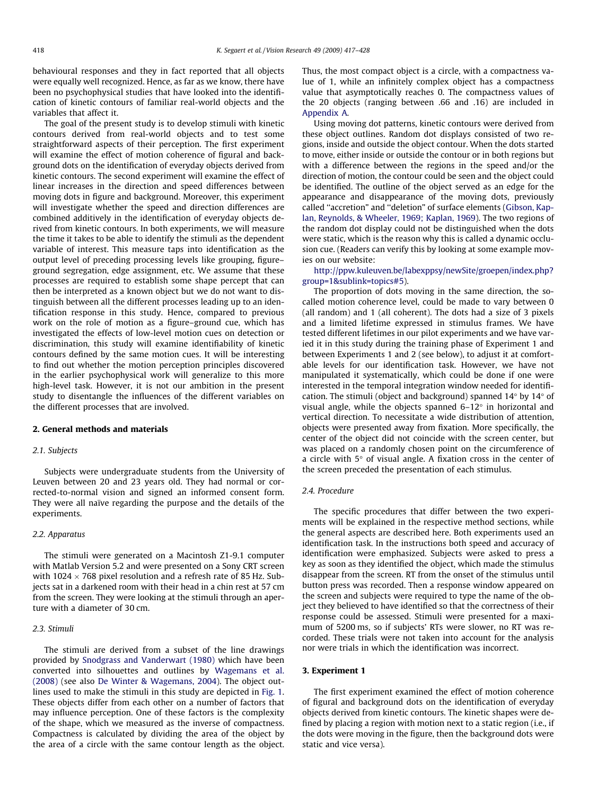behavioural responses and they in fact reported that all objects were equally well recognized. Hence, as far as we know, there have been no psychophysical studies that have looked into the identification of kinetic contours of familiar real-world objects and the variables that affect it.

The goal of the present study is to develop stimuli with kinetic contours derived from real-world objects and to test some straightforward aspects of their perception. The first experiment will examine the effect of motion coherence of figural and background dots on the identification of everyday objects derived from kinetic contours. The second experiment will examine the effect of linear increases in the direction and speed differences between moving dots in figure and background. Moreover, this experiment will investigate whether the speed and direction differences are combined additively in the identification of everyday objects derived from kinetic contours. In both experiments, we will measure the time it takes to be able to identify the stimuli as the dependent variable of interest. This measure taps into identification as the output level of preceding processing levels like grouping, figure– ground segregation, edge assignment, etc. We assume that these processes are required to establish some shape percept that can then be interpreted as a known object but we do not want to distinguish between all the different processes leading up to an identification response in this study. Hence, compared to previous work on the role of motion as a figure–ground cue, which has investigated the effects of low-level motion cues on detection or discrimination, this study will examine identifiability of kinetic contours defined by the same motion cues. It will be interesting to find out whether the motion perception principles discovered in the earlier psychophysical work will generalize to this more high-level task. However, it is not our ambition in the present study to disentangle the influences of the different variables on the different processes that are involved.

#### 2. General methods and materials

### 2.1. Subjects

Subjects were undergraduate students from the University of Leuven between 20 and 23 years old. They had normal or corrected-to-normal vision and signed an informed consent form. They were all naïve regarding the purpose and the details of the experiments.

#### 2.2. Apparatus

The stimuli were generated on a Macintosh Z1-9.1 computer with Matlab Version 5.2 and were presented on a Sony CRT screen with 1024  $\times$  768 pixel resolution and a refresh rate of 85 Hz. Subjects sat in a darkened room with their head in a chin rest at 57 cm from the screen. They were looking at the stimuli through an aperture with a diameter of 30 cm.

#### 2.3. Stimuli

The stimuli are derived from a subset of the line drawings provided by [Snodgrass and Vanderwart \(1980\)](#page-11-0) which have been converted into silhouettes and outlines by [Wagemans et al.](#page-11-0) [\(2008\)](#page-11-0) (see also [De Winter & Wagemans, 2004](#page-10-0)). The object outlines used to make the stimuli in this study are depicted in [Fig. 1.](#page-2-0) These objects differ from each other on a number of factors that may influence perception. One of these factors is the complexity of the shape, which we measured as the inverse of compactness. Compactness is calculated by dividing the area of the object by the area of a circle with the same contour length as the object. Thus, the most compact object is a circle, with a compactness value of 1, while an infinitely complex object has a compactness value that asymptotically reaches 0. The compactness values of the 20 objects (ranging between .66 and .16) are included in Appendix A.

Using moving dot patterns, kinetic contours were derived from these object outlines. Random dot displays consisted of two regions, inside and outside the object contour. When the dots started to move, either inside or outside the contour or in both regions but with a difference between the regions in the speed and/or the direction of motion, the contour could be seen and the object could be identified. The outline of the object served as an edge for the appearance and disappearance of the moving dots, previously called ''accretion" and ''deletion" of surface elements ([Gibson, Kap](#page-11-0)[lan, Reynolds, & Wheeler, 1969; Kaplan, 1969\)](#page-11-0). The two regions of the random dot display could not be distinguished when the dots were static, which is the reason why this is called a dynamic occlusion cue. (Readers can verify this by looking at some example movies on our website:

[http://ppw.kuleuven.be/labexppsy/newSite/groepen/index.php?](http://ppw.kuleuven.be/labexppsy/newSite/groepen/index.php?group=1&sublink=topics#5) [group=1&sublink=topics#5](http://ppw.kuleuven.be/labexppsy/newSite/groepen/index.php?group=1&sublink=topics#5)).

The proportion of dots moving in the same direction, the socalled motion coherence level, could be made to vary between 0 (all random) and 1 (all coherent). The dots had a size of 3 pixels and a limited lifetime expressed in stimulus frames. We have tested different lifetimes in our pilot experiments and we have varied it in this study during the training phase of Experiment 1 and between Experiments 1 and 2 (see below), to adjust it at comfortable levels for our identification task. However, we have not manipulated it systematically, which could be done if one were interested in the temporal integration window needed for identification. The stimuli (object and background) spanned  $14^{\circ}$  by  $14^{\circ}$  of visual angle, while the objects spanned  $6-12°$  in horizontal and vertical direction. To necessitate a wide distribution of attention, objects were presented away from fixation. More specifically, the center of the object did not coincide with the screen center, but was placed on a randomly chosen point on the circumference of a circle with  $5^\circ$  of visual angle. A fixation cross in the center of the screen preceded the presentation of each stimulus.

#### 2.4. Procedure

The specific procedures that differ between the two experiments will be explained in the respective method sections, while the general aspects are described here. Both experiments used an identification task. In the instructions both speed and accuracy of identification were emphasized. Subjects were asked to press a key as soon as they identified the object, which made the stimulus disappear from the screen. RT from the onset of the stimulus until button press was recorded. Then a response window appeared on the screen and subjects were required to type the name of the object they believed to have identified so that the correctness of their response could be assessed. Stimuli were presented for a maximum of 5200 ms, so if subjects' RTs were slower, no RT was recorded. These trials were not taken into account for the analysis nor were trials in which the identification was incorrect.

## 3. Experiment 1

The first experiment examined the effect of motion coherence of figural and background dots on the identification of everyday objects derived from kinetic contours. The kinetic shapes were defined by placing a region with motion next to a static region (i.e., if the dots were moving in the figure, then the background dots were static and vice versa).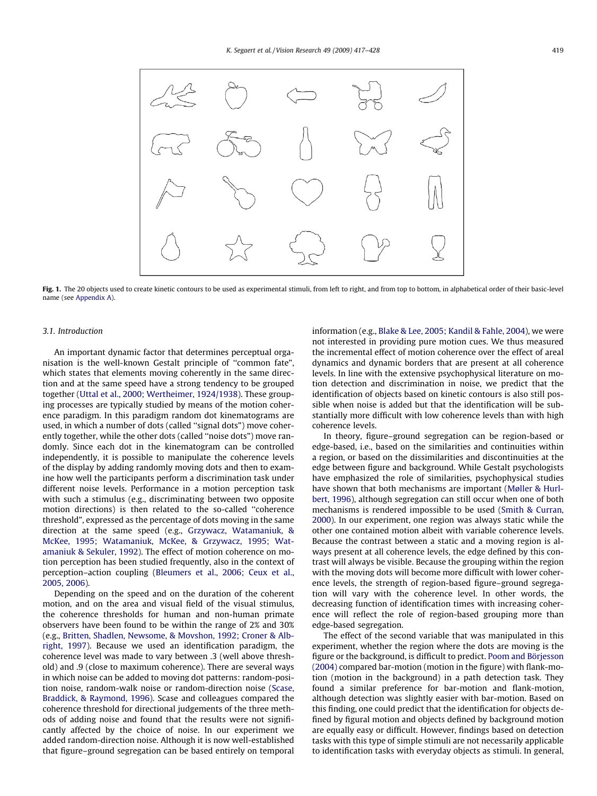<span id="page-2-0"></span>

Fig. 1. The 20 objects used to create kinetic contours to be used as experimental stimuli, from left to right, and from top to bottom, in alphabetical order of their basic-level name (see Appendix A).

### 3.1. Introduction

An important dynamic factor that determines perceptual organisation is the well-known Gestalt principle of ''common fate", which states that elements moving coherently in the same direction and at the same speed have a strong tendency to be grouped together ([Uttal et al., 2000; Wertheimer, 1924/1938](#page-11-0)). These grouping processes are typically studied by means of the motion coherence paradigm. In this paradigm random dot kinematograms are used, in which a number of dots (called "signal dots") move coherently together, while the other dots (called ''noise dots") move randomly. Since each dot in the kinematogram can be controlled independently, it is possible to manipulate the coherence levels of the display by adding randomly moving dots and then to examine how well the participants perform a discrimination task under different noise levels. Performance in a motion perception task with such a stimulus (e.g., discriminating between two opposite motion directions) is then related to the so-called ''coherence threshold", expressed as the percentage of dots moving in the same direction at the same speed (e.g., [Grzywacz, Watamaniuk, &](#page-11-0) [McKee, 1995; Watamaniuk, McKee, & Grzywacz, 1995; Wat](#page-11-0)[amaniuk & Sekuler, 1992\)](#page-11-0). The effect of motion coherence on motion perception has been studied frequently, also in the context of perception–action coupling ([Bleumers et al., 2006; Ceux et al.,](#page-10-0) [2005, 2006\)](#page-10-0).

Depending on the speed and on the duration of the coherent motion, and on the area and visual field of the visual stimulus, the coherence thresholds for human and non-human primate observers have been found to be within the range of 2% and 30% (e.g., [Britten, Shadlen, Newsome, & Movshon, 1992; Croner & Alb](#page-10-0)[right, 1997](#page-10-0)). Because we used an identification paradigm, the coherence level was made to vary between .3 (well above threshold) and .9 (close to maximum coherence). There are several ways in which noise can be added to moving dot patterns: random-position noise, random-walk noise or random-direction noise [\(Scase,](#page-11-0) [Braddick, & Raymond, 1996](#page-11-0)). Scase and colleagues compared the coherence threshold for directional judgements of the three methods of adding noise and found that the results were not significantly affected by the choice of noise. In our experiment we added random-direction noise. Although it is now well-established that figure–ground segregation can be based entirely on temporal information (e.g., [Blake & Lee, 2005; Kandil & Fahle, 2004\)](#page-10-0), we were not interested in providing pure motion cues. We thus measured the incremental effect of motion coherence over the effect of areal dynamics and dynamic borders that are present at all coherence levels. In line with the extensive psychophysical literature on motion detection and discrimination in noise, we predict that the identification of objects based on kinetic contours is also still possible when noise is added but that the identification will be substantially more difficult with low coherence levels than with high coherence levels.

In theory, figure–ground segregation can be region-based or edge-based, i.e., based on the similarities and continuities within a region, or based on the dissimilarities and discontinuities at the edge between figure and background. While Gestalt psychologists have emphasized the role of similarities, psychophysical studies have shown that both mechanisms are important [\(M](#page-11-0)ø[ller & Hurl](#page-11-0)[bert, 1996](#page-11-0)), although segregation can still occur when one of both mechanisms is rendered impossible to be used [\(Smith & Curran,](#page-11-0) [2000](#page-11-0)). In our experiment, one region was always static while the other one contained motion albeit with variable coherence levels. Because the contrast between a static and a moving region is always present at all coherence levels, the edge defined by this contrast will always be visible. Because the grouping within the region with the moving dots will become more difficult with lower coherence levels, the strength of region-based figure–ground segregation will vary with the coherence level. In other words, the decreasing function of identification times with increasing coherence will reflect the role of region-based grouping more than edge-based segregation.

The effect of the second variable that was manipulated in this experiment, whether the region where the dots are moving is the figure or the background, is difficult to predict. [Poom and Börjesson](#page-11-0) [\(2004\)](#page-11-0) compared bar-motion (motion in the figure) with flank-motion (motion in the background) in a path detection task. They found a similar preference for bar-motion and flank-motion, although detection was slightly easier with bar-motion. Based on this finding, one could predict that the identification for objects defined by figural motion and objects defined by background motion are equally easy or difficult. However, findings based on detection tasks with this type of simple stimuli are not necessarily applicable to identification tasks with everyday objects as stimuli. In general,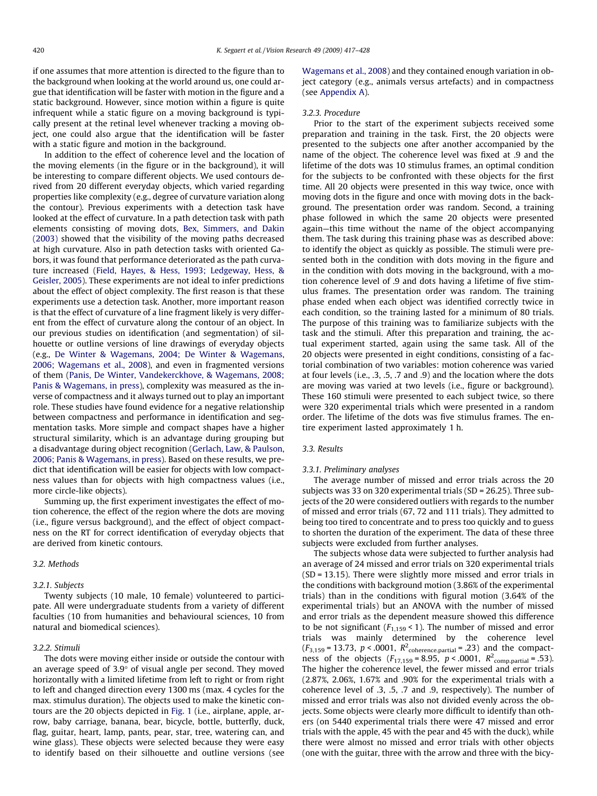if one assumes that more attention is directed to the figure than to the background when looking at the world around us, one could argue that identification will be faster with motion in the figure and a static background. However, since motion within a figure is quite infrequent while a static figure on a moving background is typically present at the retinal level whenever tracking a moving object, one could also argue that the identification will be faster with a static figure and motion in the background.

In addition to the effect of coherence level and the location of the moving elements (in the figure or in the background), it will be interesting to compare different objects. We used contours derived from 20 different everyday objects, which varied regarding properties like complexity (e.g., degree of curvature variation along the contour). Previous experiments with a detection task have looked at the effect of curvature. In a path detection task with path elements consisting of moving dots, [Bex, Simmers, and Dakin](#page-10-0) [\(2003\)](#page-10-0) showed that the visibility of the moving paths decreased at high curvature. Also in path detection tasks with oriented Gabors, it was found that performance deteriorated as the path curvature increased [\(Field, Hayes, & Hess, 1993; Ledgeway, Hess, &](#page-11-0) [Geisler, 2005\)](#page-11-0). These experiments are not ideal to infer predictions about the effect of object complexity. The first reason is that these experiments use a detection task. Another, more important reason is that the effect of curvature of a line fragment likely is very different from the effect of curvature along the contour of an object. In our previous studies on identification (and segmentation) of silhouette or outline versions of line drawings of everyday objects (e.g., [De Winter & Wagemans, 2004; De Winter & Wagemans,](#page-10-0) [2006; Wagemans et al., 2008](#page-10-0)), and even in fragmented versions of them [\(Panis, De Winter, Vandekerckhove, & Wagemans, 2008;](#page-11-0) [Panis & Wagemans, in press](#page-11-0)), complexity was measured as the inverse of compactness and it always turned out to play an important role. These studies have found evidence for a negative relationship between compactness and performance in identification and segmentation tasks. More simple and compact shapes have a higher structural similarity, which is an advantage during grouping but a disadvantage during object recognition ([Gerlach, Law, & Paulson,](#page-11-0) [2006; Panis & Wagemans, in press\)](#page-11-0). Based on these results, we predict that identification will be easier for objects with low compactness values than for objects with high compactness values (i.e., more circle-like objects).

Summing up, the first experiment investigates the effect of motion coherence, the effect of the region where the dots are moving (i.e., figure versus background), and the effect of object compactness on the RT for correct identification of everyday objects that are derived from kinetic contours.

### 3.2. Methods

## 3.2.1. Subjects

Twenty subjects (10 male, 10 female) volunteered to participate. All were undergraduate students from a variety of different faculties (10 from humanities and behavioural sciences, 10 from natural and biomedical sciences).

## 3.2.2. Stimuli

The dots were moving either inside or outside the contour with an average speed of  $3.9^{\circ}$  of visual angle per second. They moved horizontally with a limited lifetime from left to right or from right to left and changed direction every 1300 ms (max. 4 cycles for the max. stimulus duration). The objects used to make the kinetic contours are the 20 objects depicted in [Fig. 1](#page-2-0) (i.e., airplane, apple, arrow, baby carriage, banana, bear, bicycle, bottle, butterfly, duck, flag, guitar, heart, lamp, pants, pear, star, tree, watering can, and wine glass). These objects were selected because they were easy to identify based on their silhouette and outline versions (see

[Wagemans et al., 2008](#page-11-0)) and they contained enough variation in object category (e.g., animals versus artefacts) and in compactness (see Appendix A).

## 3.2.3. Procedure

Prior to the start of the experiment subjects received some preparation and training in the task. First, the 20 objects were presented to the subjects one after another accompanied by the name of the object. The coherence level was fixed at .9 and the lifetime of the dots was 10 stimulus frames, an optimal condition for the subjects to be confronted with these objects for the first time. All 20 objects were presented in this way twice, once with moving dots in the figure and once with moving dots in the background. The presentation order was random. Second, a training phase followed in which the same 20 objects were presented again—this time without the name of the object accompanying them. The task during this training phase was as described above: to identify the object as quickly as possible. The stimuli were presented both in the condition with dots moving in the figure and in the condition with dots moving in the background, with a motion coherence level of .9 and dots having a lifetime of five stimulus frames. The presentation order was random. The training phase ended when each object was identified correctly twice in each condition, so the training lasted for a minimum of 80 trials. The purpose of this training was to familiarize subjects with the task and the stimuli. After this preparation and training, the actual experiment started, again using the same task. All of the 20 objects were presented in eight conditions, consisting of a factorial combination of two variables: motion coherence was varied at four levels (i.e., .3, .5, .7 and .9) and the location where the dots are moving was varied at two levels (i.e., figure or background). These 160 stimuli were presented to each subject twice, so there were 320 experimental trials which were presented in a random order. The lifetime of the dots was five stimulus frames. The entire experiment lasted approximately 1 h.

#### 3.3. Results

#### 3.3.1. Preliminary analyses

The average number of missed and error trials across the 20 subjects was 33 on 320 experimental trials (SD = 26.25). Three subjects of the 20 were considered outliers with regards to the number of missed and error trials (67, 72 and 111 trials). They admitted to being too tired to concentrate and to press too quickly and to guess to shorten the duration of the experiment. The data of these three subjects were excluded from further analyses.

The subjects whose data were subjected to further analysis had an average of 24 missed and error trials on 320 experimental trials (SD = 13.15). There were slightly more missed and error trials in the conditions with background motion (3.86% of the experimental trials) than in the conditions with figural motion (3.64% of the experimental trials) but an ANOVA with the number of missed and error trials as the dependent measure showed this difference to be not significant ( $F_{1,159}$  < 1). The number of missed and error trials was mainly determined by the coherence level  $(F_{3,159} = 13.73, p < .0001, R^2_{\text{coherence},\text{partial}} = .23)$  and the compactness of the objects  $(F_{17,159} = 8.95, p < .0001, R^2$ <sub>comp.partial</sub> = .53). The higher the coherence level, the fewer missed and error trials (2.87%, 2.06%, 1.67% and .90% for the experimental trials with a coherence level of .3, .5, .7 and .9, respectively). The number of missed and error trials was also not divided evenly across the objects. Some objects were clearly more difficult to identify than others (on 5440 experimental trials there were 47 missed and error trials with the apple, 45 with the pear and 45 with the duck), while there were almost no missed and error trials with other objects (one with the guitar, three with the arrow and three with the bicy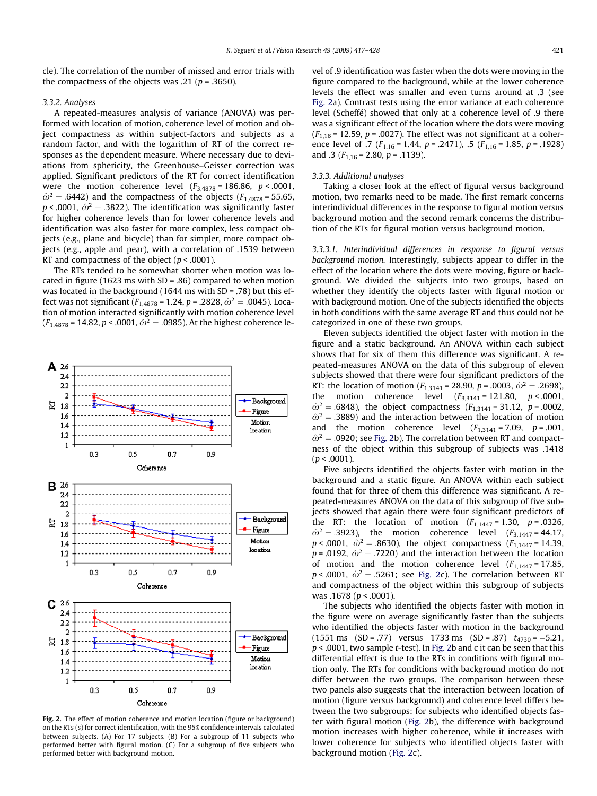cle). The correlation of the number of missed and error trials with the compactness of the objects was .21 ( $p = .3650$ ).

#### 3.3.2. Analyses

A repeated-measures analysis of variance (ANOVA) was performed with location of motion, coherence level of motion and object compactness as within subject-factors and subjects as a random factor, and with the logarithm of RT of the correct responses as the dependent measure. Where necessary due to deviations from sphericity, the Greenhouse–Geisser correction was applied. Significant predictors of the RT for correct identification were the motion coherence level  $(F_{3,4878} = 186.86, p < .0001,$  $\hat{\omega}^2$  = .6442) and the compactness of the objects (F<sub>1,4878</sub> = 55.65,  $p < .0001$ ,  $\hat{\omega}^2 = .3822$ ). The identification was significantly faster for higher coherence levels than for lower coherence levels and identification was also faster for more complex, less compact objects (e.g., plane and bicycle) than for simpler, more compact objects (e.g., apple and pear), with a correlation of .1539 between RT and compactness of the object ( $p < .0001$ ).

The RTs tended to be somewhat shorter when motion was located in figure (1623 ms with SD = .86) compared to when motion was located in the background (1644 ms with SD = .78) but this effect was not significant ( $F_{1,4878}$  = 1.24, p = .2828,  $\hat{\omega}^2$  = .0045). Location of motion interacted significantly with motion coherence level  $(F_{1,4878} = 14.82, p < .0001, \hat{\omega}^2 = .0985)$ . At the highest coherence le-



Fig. 2. The effect of motion coherence and motion location (figure or background) on the RTs (s) for correct identification, with the 95% confidence intervals calculated between subjects. (A) For 17 subjects. (B) For a subgroup of 11 subjects who performed better with figural motion. (C) For a subgroup of five subjects who performed better with background motion.

vel of .9 identification was faster when the dots were moving in the figure compared to the background, while at the lower coherence levels the effect was smaller and even turns around at .3 (see Fig. 2a). Contrast tests using the error variance at each coherence level (Scheffé) showed that only at a coherence level of .9 there was a significant effect of the location where the dots were moving  $(F<sub>1.16</sub> = 12.59, p = .0027)$ . The effect was not significant at a coherence level of .7 ( $F_{1,16}$  = 1.44,  $p = .2471$ ), .5 ( $F_{1,16}$  = 1.85,  $p = .1928$ ) and .3 ( $F_{1,16}$  = 2.80,  $p$  = .1139).

#### 3.3.3. Additional analyses

Taking a closer look at the effect of figural versus background motion, two remarks need to be made. The first remark concerns interindividual differences in the response to figural motion versus background motion and the second remark concerns the distribution of the RTs for figural motion versus background motion.

3.3.3.1. Interindividual differences in response to figural versus background motion. Interestingly, subjects appear to differ in the effect of the location where the dots were moving, figure or background. We divided the subjects into two groups, based on whether they identify the objects faster with figural motion or with background motion. One of the subjects identified the objects in both conditions with the same average RT and thus could not be categorized in one of these two groups.

Eleven subjects identified the object faster with motion in the figure and a static background. An ANOVA within each subject shows that for six of them this difference was significant. A repeated-measures ANOVA on the data of this subgroup of eleven subjects showed that there were four significant predictors of the RT: the location of motion ( $F_{1,3141}$  = 28.90, p = .0003,  $\hat{\omega}^2$  = .2698), the motion coherence level  $(F_{3,3141} = 121.80, p < .0001,$  $\hat{\omega}^2$  = .6848), the object compactness (F<sub>1,3141</sub> = 31.12, p = .0002,  $\hat{\omega}^2$  = .3889) and the interaction between the location of motion and the motion coherence level  $(F_{1,3141} = 7.09, p = .001,$  $\hat{\omega}^2$  = .0920; see Fig. 2b). The correlation between RT and compactness of the object within this subgroup of subjects was .1418  $(p < .0001)$ .

Five subjects identified the objects faster with motion in the background and a static figure. An ANOVA within each subject found that for three of them this difference was significant. A repeated-measures ANOVA on the data of this subgroup of five subjects showed that again there were four significant predictors of the RT: the location of motion  $(F_{1,1447} = 1.30, p = .0326,$  $\hat{\omega}^2 = .3923$ ), the motion coherence level (F<sub>3,1447</sub> = 44.17,  $p < .0001$ ,  $\hat{\omega}^2 = .8630$ ), the object compactness ( $F_{1,1447} = 14.39$ ,  $p = .0192$ ,  $\hat{\omega}^2 = .7220$ ) and the interaction between the location of motion and the motion coherence level  $(F_{1,1447} = 17.85,$  $p < .0001$ ,  $\hat{\omega}^2 = .5261$ ; see Fig. 2c). The correlation between RT and compactness of the object within this subgroup of subjects was .1678 ( $p < .0001$ ).

The subjects who identified the objects faster with motion in the figure were on average significantly faster than the subjects who identified the objects faster with motion in the background (1551 ms  $(SD = .77)$  versus 1733 ms  $(SD = .87)$   $t_{4730} = -5.21$ ,  $p$  < .0001, two sample t-test). In Fig. 2b and c it can be seen that this differential effect is due to the RTs in conditions with figural motion only. The RTs for conditions with background motion do not differ between the two groups. The comparison between these two panels also suggests that the interaction between location of motion (figure versus background) and coherence level differs between the two subgroups: for subjects who identified objects faster with figural motion (Fig. 2b), the difference with background motion increases with higher coherence, while it increases with lower coherence for subjects who identified objects faster with background motion (Fig. 2c).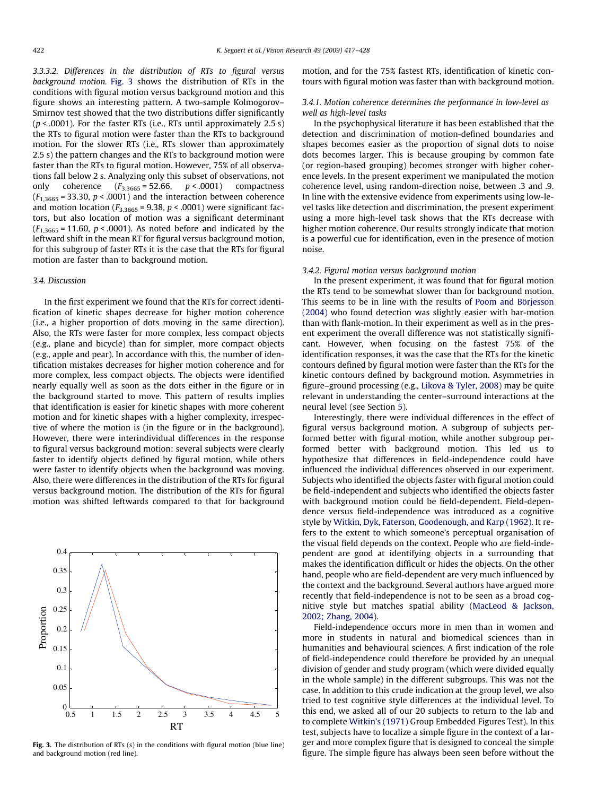3.3.3.2. Differences in the distribution of RTs to figural versus background motion. Fig. 3 shows the distribution of RTs in the conditions with figural motion versus background motion and this figure shows an interesting pattern. A two-sample Kolmogorov– Smirnov test showed that the two distributions differ significantly ( $p$  < .0001). For the faster RTs (i.e., RTs until approximately 2.5 s) the RTs to figural motion were faster than the RTs to background motion. For the slower RTs (i.e., RTs slower than approximately 2.5 s) the pattern changes and the RTs to background motion were faster than the RTs to figural motion. However, 75% of all observations fall below 2 s. Analyzing only this subset of observations, not only coherence  $(F_{3,3665} = 52.66, p < .0001)$  compactness  $(F_{1,3665} = 33.30, p < .0001)$  and the interaction between coherence and motion location ( $F_{3,3665}$  = 9.38,  $p < .0001$ ) were significant factors, but also location of motion was a significant determinant  $(F<sub>1,3665</sub> = 11.60, p < .0001)$ . As noted before and indicated by the leftward shift in the mean RT for figural versus background motion, for this subgroup of faster RTs it is the case that the RTs for figural motion are faster than to background motion.

## 3.4. Discussion

In the first experiment we found that the RTs for correct identification of kinetic shapes decrease for higher motion coherence (i.e., a higher proportion of dots moving in the same direction). Also, the RTs were faster for more complex, less compact objects (e.g., plane and bicycle) than for simpler, more compact objects (e.g., apple and pear). In accordance with this, the number of identification mistakes decreases for higher motion coherence and for more complex, less compact objects. The objects were identified nearly equally well as soon as the dots either in the figure or in the background started to move. This pattern of results implies that identification is easier for kinetic shapes with more coherent motion and for kinetic shapes with a higher complexity, irrespective of where the motion is (in the figure or in the background). However, there were interindividual differences in the response to figural versus background motion: several subjects were clearly faster to identify objects defined by figural motion, while others were faster to identify objects when the background was moving. Also, there were differences in the distribution of the RTs for figural versus background motion. The distribution of the RTs for figural motion was shifted leftwards compared to that for background



Fig. 3. The distribution of RTs (s) in the conditions with figural motion (blue line) and background motion (red line).

motion, and for the 75% fastest RTs, identification of kinetic contours with figural motion was faster than with background motion.

## 3.4.1. Motion coherence determines the performance in low-level as well as high-level tasks

In the psychophysical literature it has been established that the detection and discrimination of motion-defined boundaries and shapes becomes easier as the proportion of signal dots to noise dots becomes larger. This is because grouping by common fate (or region-based grouping) becomes stronger with higher coherence levels. In the present experiment we manipulated the motion coherence level, using random-direction noise, between .3 and .9. In line with the extensive evidence from experiments using low-level tasks like detection and discrimination, the present experiment using a more high-level task shows that the RTs decrease with higher motion coherence. Our results strongly indicate that motion is a powerful cue for identification, even in the presence of motion noise.

#### 3.4.2. Figural motion versus background motion

In the present experiment, it was found that for figural motion the RTs tend to be somewhat slower than for background motion. This seems to be in line with the results of [Poom and Börjesson](#page-11-0) [\(2004\)](#page-11-0) who found detection was slightly easier with bar-motion than with flank-motion. In their experiment as well as in the present experiment the overall difference was not statistically significant. However, when focusing on the fastest 75% of the identification responses, it was the case that the RTs for the kinetic contours defined by figural motion were faster than the RTs for the kinetic contours defined by background motion. Asymmetries in figure–ground processing (e.g., [Likova & Tyler, 2008\)](#page-11-0) may be quite relevant in understanding the center–surround interactions at the neural level (see Section [5\)](#page-9-0).

Interestingly, there were individual differences in the effect of figural versus background motion. A subgroup of subjects performed better with figural motion, while another subgroup performed better with background motion. This led us to hypothesize that differences in field-independence could have influenced the individual differences observed in our experiment. Subjects who identified the objects faster with figural motion could be field-independent and subjects who identified the objects faster with background motion could be field-dependent. Field-dependence versus field-independence was introduced as a cognitive style by [Witkin, Dyk, Faterson, Goodenough, and Karp \(1962\)](#page-11-0). It refers to the extent to which someone's perceptual organisation of the visual field depends on the context. People who are field-independent are good at identifying objects in a surrounding that makes the identification difficult or hides the objects. On the other hand, people who are field-dependent are very much influenced by the context and the background. Several authors have argued more recently that field-independence is not to be seen as a broad cognitive style but matches spatial ability ([MacLeod & Jackson,](#page-11-0) [2002; Zhang, 2004\)](#page-11-0).

Field-independence occurs more in men than in women and more in students in natural and biomedical sciences than in humanities and behavioural sciences. A first indication of the role of field-independence could therefore be provided by an unequal division of gender and study program (which were divided equally in the whole sample) in the different subgroups. This was not the case. In addition to this crude indication at the group level, we also tried to test cognitive style differences at the individual level. To this end, we asked all of our 20 subjects to return to the lab and to complete [Witkin's \(1971\)](#page-11-0) Group Embedded Figures Test). In this test, subjects have to localize a simple figure in the context of a larger and more complex figure that is designed to conceal the simple figure. The simple figure has always been seen before without the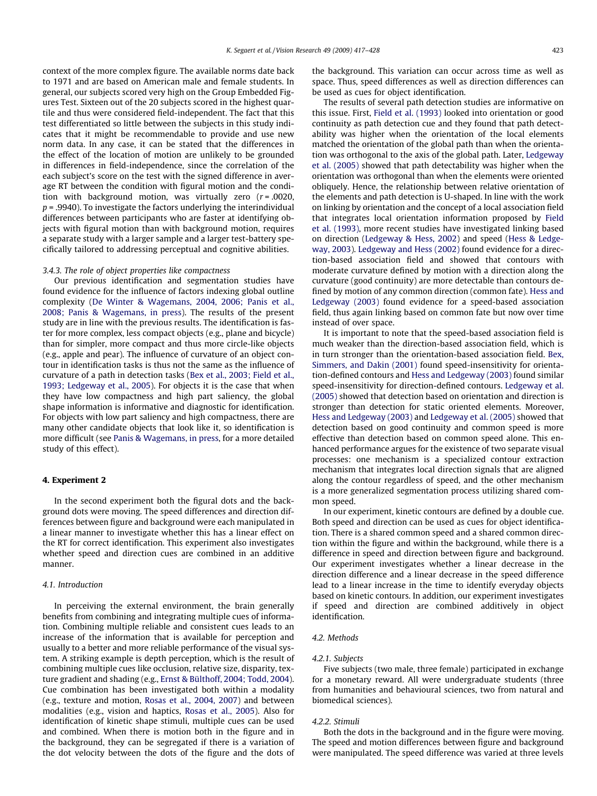context of the more complex figure. The available norms date back to 1971 and are based on American male and female students. In general, our subjects scored very high on the Group Embedded Figures Test. Sixteen out of the 20 subjects scored in the highest quartile and thus were considered field-independent. The fact that this test differentiated so little between the subjects in this study indicates that it might be recommendable to provide and use new norm data. In any case, it can be stated that the differences in the effect of the location of motion are unlikely to be grounded in differences in field-independence, since the correlation of the each subject's score on the test with the signed difference in average RT between the condition with figural motion and the condition with background motion, was virtually zero  $(r = .0020, )$  $p = .9940$ ). To investigate the factors underlying the interindividual differences between participants who are faster at identifying objects with figural motion than with background motion, requires a separate study with a larger sample and a larger test-battery specifically tailored to addressing perceptual and cognitive abilities.

#### 3.4.3. The role of object properties like compactness

Our previous identification and segmentation studies have found evidence for the influence of factors indexing global outline complexity [\(De Winter & Wagemans, 2004, 2006; Panis et al.,](#page-10-0) [2008; Panis & Wagemans, in press](#page-10-0)). The results of the present study are in line with the previous results. The identification is faster for more complex, less compact objects (e.g., plane and bicycle) than for simpler, more compact and thus more circle-like objects (e.g., apple and pear). The influence of curvature of an object contour in identification tasks is thus not the same as the influence of curvature of a path in detection tasks ([Bex et al., 2003; Field et al.,](#page-10-0) [1993; Ledgeway et al., 2005](#page-10-0)). For objects it is the case that when they have low compactness and high part saliency, the global shape information is informative and diagnostic for identification. For objects with low part saliency and high compactness, there are many other candidate objects that look like it, so identification is more difficult (see [Panis & Wagemans, in press](#page-11-0), for a more detailed study of this effect).

#### 4. Experiment 2

In the second experiment both the figural dots and the background dots were moving. The speed differences and direction differences between figure and background were each manipulated in a linear manner to investigate whether this has a linear effect on the RT for correct identification. This experiment also investigates whether speed and direction cues are combined in an additive manner.

#### 4.1. Introduction

In perceiving the external environment, the brain generally benefits from combining and integrating multiple cues of information. Combining multiple reliable and consistent cues leads to an increase of the information that is available for perception and usually to a better and more reliable performance of the visual system. A striking example is depth perception, which is the result of combining multiple cues like occlusion, relative size, disparity, texture gradient and shading (e.g., [Ernst & Bülthoff, 2004; Todd, 2004\)](#page-11-0). Cue combination has been investigated both within a modality (e.g., texture and motion, [Rosas et al., 2004, 2007](#page-11-0)) and between modalities (e.g., vision and haptics, [Rosas et al., 2005](#page-11-0)). Also for identification of kinetic shape stimuli, multiple cues can be used and combined. When there is motion both in the figure and in the background, they can be segregated if there is a variation of the dot velocity between the dots of the figure and the dots of the background. This variation can occur across time as well as space. Thus, speed differences as well as direction differences can be used as cues for object identification.

The results of several path detection studies are informative on this issue. First, [Field et al. \(1993\)](#page-11-0) looked into orientation or good continuity as path detection cue and they found that path detectability was higher when the orientation of the local elements matched the orientation of the global path than when the orientation was orthogonal to the axis of the global path. Later, [Ledgeway](#page-11-0) [et al. \(2005\)](#page-11-0) showed that path detectability was higher when the orientation was orthogonal than when the elements were oriented obliquely. Hence, the relationship between relative orientation of the elements and path detection is U-shaped. In line with the work on linking by orientation and the concept of a local association field that integrates local orientation information proposed by [Field](#page-11-0) [et al. \(1993\)](#page-11-0), more recent studies have investigated linking based on direction [\(Ledgeway & Hess, 2002\)](#page-11-0) and speed ([Hess & Ledge](#page-11-0)[way, 2003](#page-11-0)). [Ledgeway and Hess \(2002\)](#page-11-0) found evidence for a direction-based association field and showed that contours with moderate curvature defined by motion with a direction along the curvature (good continuity) are more detectable than contours defined by motion of any common direction (common fate). [Hess and](#page-11-0) [Ledgeway \(2003\)](#page-11-0) found evidence for a speed-based association field, thus again linking based on common fate but now over time instead of over space.

It is important to note that the speed-based association field is much weaker than the direction-based association field, which is in turn stronger than the orientation-based association field. [Bex,](#page-10-0) [Simmers, and Dakin \(2001\)](#page-10-0) found speed-insensitivity for orientation-defined contours and [Hess and Ledgeway \(2003\)](#page-11-0) found similar speed-insensitivity for direction-defined contours. [Ledgeway et al.](#page-11-0) [\(2005\)](#page-11-0) showed that detection based on orientation and direction is stronger than detection for static oriented elements. Moreover, [Hess and Ledgeway \(2003\)](#page-11-0) and [Ledgeway et al. \(2005\)](#page-11-0) showed that detection based on good continuity and common speed is more effective than detection based on common speed alone. This enhanced performance argues for the existence of two separate visual processes: one mechanism is a specialized contour extraction mechanism that integrates local direction signals that are aligned along the contour regardless of speed, and the other mechanism is a more generalized segmentation process utilizing shared common speed.

In our experiment, kinetic contours are defined by a double cue. Both speed and direction can be used as cues for object identification. There is a shared common speed and a shared common direction within the figure and within the background, while there is a difference in speed and direction between figure and background. Our experiment investigates whether a linear decrease in the direction difference and a linear decrease in the speed difference lead to a linear increase in the time to identify everyday objects based on kinetic contours. In addition, our experiment investigates if speed and direction are combined additively in object identification.

#### 4.2 Methods

#### 4.2.1. Subjects

Five subjects (two male, three female) participated in exchange for a monetary reward. All were undergraduate students (three from humanities and behavioural sciences, two from natural and biomedical sciences).

#### 4.2.2. Stimuli

Both the dots in the background and in the figure were moving. The speed and motion differences between figure and background were manipulated. The speed difference was varied at three levels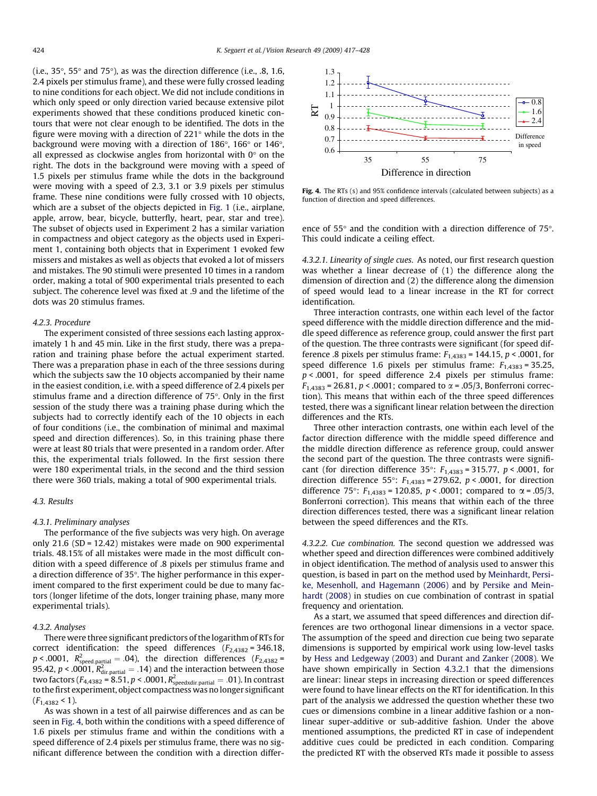(i.e.,  $35^{\circ}$ ,  $55^{\circ}$  and  $75^{\circ}$ ), as was the direction difference (i.e.,  $.8, 1.6$ , 2.4 pixels per stimulus frame), and these were fully crossed leading to nine conditions for each object. We did not include conditions in which only speed or only direction varied because extensive pilot experiments showed that these conditions produced kinetic contours that were not clear enough to be identified. The dots in the figure were moving with a direction of  $221^\circ$  while the dots in the background were moving with a direction of  $186^{\circ}$ ,  $166^{\circ}$  or  $146^{\circ}$ , all expressed as clockwise angles from horizontal with  $0^{\circ}$  on the right. The dots in the background were moving with a speed of 1.5 pixels per stimulus frame while the dots in the background were moving with a speed of 2.3, 3.1 or 3.9 pixels per stimulus frame. These nine conditions were fully crossed with 10 objects, which are a subset of the objects depicted in [Fig. 1](#page-2-0) (i.e., airplane, apple, arrow, bear, bicycle, butterfly, heart, pear, star and tree). The subset of objects used in Experiment 2 has a similar variation in compactness and object category as the objects used in Experiment 1, containing both objects that in Experiment 1 evoked few missers and mistakes as well as objects that evoked a lot of missers and mistakes. The 90 stimuli were presented 10 times in a random order, making a total of 900 experimental trials presented to each subject. The coherence level was fixed at .9 and the lifetime of the dots was 20 stimulus frames.

#### 4.2.3. Procedure

The experiment consisted of three sessions each lasting approximately 1 h and 45 min. Like in the first study, there was a preparation and training phase before the actual experiment started. There was a preparation phase in each of the three sessions during which the subjects saw the 10 objects accompanied by their name in the easiest condition, i.e. with a speed difference of 2.4 pixels per stimulus frame and a direction difference of 75°. Only in the first session of the study there was a training phase during which the subjects had to correctly identify each of the 10 objects in each of four conditions (i.e., the combination of minimal and maximal speed and direction differences). So, in this training phase there were at least 80 trials that were presented in a random order. After this, the experimental trials followed. In the first session there were 180 experimental trials, in the second and the third session there were 360 trials, making a total of 900 experimental trials.

#### 4.3. Results

#### 4.3.1. Preliminary analyses

The performance of the five subjects was very high. On average only 21.6 (SD = 12.42) mistakes were made on 900 experimental trials. 48.15% of all mistakes were made in the most difficult condition with a speed difference of .8 pixels per stimulus frame and a direction difference of 35°. The higher performance in this experiment compared to the first experiment could be due to many factors (longer lifetime of the dots, longer training phase, many more experimental trials).

#### 4.3.2. Analyses

There were three significant predictors of the logarithm of RTs for correct identification: the speed differences  $(F_{2,4382} = 346.18,$  $p < .0001$ ,  $R^2_{\rm speed, partial} = .04$ ), the direction differences ( $F_{2,4382} =$ 95.42,  $p < .0001$ ,  $R_{\rm dir, partial}^2 = .14$ ) and the interaction between those two factors ( $F_{4,4382}$  =  $8.51, p < .0001, R_{\text{speedxdir.partial}}^2 = .01$ ). In contrast to the first experiment, object compactness was no longer significant  $(F<sub>1,4382</sub> < 1).$ 

As was shown in a test of all pairwise differences and as can be seen in Fig. 4, both within the conditions with a speed difference of 1.6 pixels per stimulus frame and within the conditions with a speed difference of 2.4 pixels per stimulus frame, there was no significant difference between the condition with a direction differ-



Fig. 4. The RTs (s) and 95% confidence intervals (calculated between subjects) as a function of direction and speed differences.

ence of 55 $\degree$  and the condition with a direction difference of 75 $\degree$ . This could indicate a ceiling effect.

4.3.2.1. Linearity of single cues. As noted, our first research question was whether a linear decrease of (1) the difference along the dimension of direction and (2) the difference along the dimension of speed would lead to a linear increase in the RT for correct identification.

Three interaction contrasts, one within each level of the factor speed difference with the middle direction difference and the middle speed difference as reference group, could answer the first part of the question. The three contrasts were significant (for speed difference .8 pixels per stimulus frame:  $F_{1,4383}$  = 144.15,  $p < .0001$ , for speed difference 1.6 pixels per stimulus frame:  $F_{1,4383} = 35.25$ ,  $p < .0001$ , for speed difference 2.4 pixels per stimulus frame:  $F_{1,4383} = 26.81, p < .0001$ ; compared to  $\alpha = .05/3$ , Bonferroni correction). This means that within each of the three speed differences tested, there was a significant linear relation between the direction differences and the RTs.

Three other interaction contrasts, one within each level of the factor direction difference with the middle speed difference and the middle direction difference as reference group, could answer the second part of the question. The three contrasts were significant (for direction difference 35°:  $F_{1,4383}$  = 315.77, p < .0001, for direction difference 55°:  $F_{1,4383}$  = 279.62,  $p < .0001$ , for direction difference 75°:  $F_{1,4383}$  = 120.85, p < .0001; compared to  $\alpha$  = .05/3, Bonferroni correction). This means that within each of the three direction differences tested, there was a significant linear relation between the speed differences and the RTs.

4.3.2.2. Cue combination. The second question we addressed was whether speed and direction differences were combined additively in object identification. The method of analysis used to answer this question, is based in part on the method used by [Meinhardt, Persi](#page-11-0)[ke, Mesenholl, and Hagemann \(2006\)](#page-11-0) and by [Persike and Mein](#page-11-0)[hardt \(2008\)](#page-11-0) in studies on cue combination of contrast in spatial frequency and orientation.

As a start, we assumed that speed differences and direction differences are two orthogonal linear dimensions in a vector space. The assumption of the speed and direction cue being two separate dimensions is supported by empirical work using low-level tasks by [Hess and Ledgeway \(2003\)](#page-11-0) and [Durant and Zanker \(2008\)](#page-10-0). We have shown empirically in Section 4.3.2.1 that the dimensions are linear: linear steps in increasing direction or speed differences were found to have linear effects on the RT for identification. In this part of the analysis we addressed the question whether these two cues or dimensions combine in a linear additive fashion or a nonlinear super-additive or sub-additive fashion. Under the above mentioned assumptions, the predicted RT in case of independent additive cues could be predicted in each condition. Comparing the predicted RT with the observed RTs made it possible to assess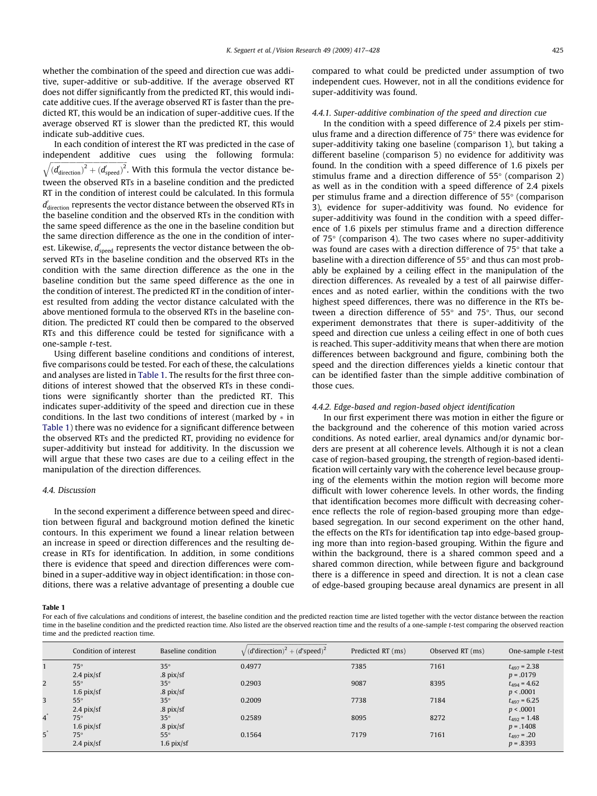<span id="page-8-0"></span>whether the combination of the speed and direction cue was additive, super-additive or sub-additive. If the average observed RT does not differ significantly from the predicted RT, this would indicate additive cues. If the average observed RT is faster than the predicted RT, this would be an indication of super-additive cues. If the average observed RT is slower than the predicted RT, this would indicate sub-additive cues.

In each condition of interest the RT was predicted in the case of independent additive cues using the following formula:  $\sqrt{(d'_{\text{direction}})^2 + (d'_{\text{speed}})^2}$ . With this formula the vector distance between the observed RTs in a baseline condition and the predicted RT in the condition of interest could be calculated. In this formula  $d^{\prime}_\mathrm{direction}$  represents the vector distance between the observed RTs in the baseline condition and the observed RTs in the condition with the same speed difference as the one in the baseline condition but the same direction difference as the one in the condition of interest. Likewise,  $d'_{\rm speed}$  represents the vector distance between the observed RTs in the baseline condition and the observed RTs in the condition with the same direction difference as the one in the baseline condition but the same speed difference as the one in the condition of interest. The predicted RT in the condition of interest resulted from adding the vector distance calculated with the above mentioned formula to the observed RTs in the baseline condition. The predicted RT could then be compared to the observed RTs and this difference could be tested for significance with a one-sample t-test.

Using different baseline conditions and conditions of interest, five comparisons could be tested. For each of these, the calculations and analyses are listed in Table 1. The results for the first three conditions of interest showed that the observed RTs in these conditions were significantly shorter than the predicted RT. This indicates super-additivity of the speed and direction cue in these conditions. In the last two conditions of interest (marked by  $*$  in Table 1) there was no evidence for a significant difference between the observed RTs and the predicted RT, providing no evidence for super-additivity but instead for additivity. In the discussion we will argue that these two cases are due to a ceiling effect in the manipulation of the direction differences.

#### 4.4. Discussion

In the second experiment a difference between speed and direction between figural and background motion defined the kinetic contours. In this experiment we found a linear relation between an increase in speed or direction differences and the resulting decrease in RTs for identification. In addition, in some conditions there is evidence that speed and direction differences were combined in a super-additive way in object identification: in those conditions, there was a relative advantage of presenting a double cue compared to what could be predicted under assumption of two independent cues. However, not in all the conditions evidence for super-additivity was found.

#### 4.4.1. Super-additive combination of the speed and direction cue

In the condition with a speed difference of 2.4 pixels per stimulus frame and a direction difference of  $75^{\circ}$  there was evidence for super-additivity taking one baseline (comparison 1), but taking a different baseline (comparison 5) no evidence for additivity was found. In the condition with a speed difference of 1.6 pixels per stimulus frame and a direction difference of  $55^{\circ}$  (comparison 2) as well as in the condition with a speed difference of 2.4 pixels per stimulus frame and a direction difference of 55° (comparison 3), evidence for super-additivity was found. No evidence for super-additivity was found in the condition with a speed difference of 1.6 pixels per stimulus frame and a direction difference of  $75^{\circ}$  (comparison 4). The two cases where no super-additivity was found are cases with a direction difference of  $75^{\circ}$  that take a baseline with a direction difference of  $55^{\circ}$  and thus can most probably be explained by a ceiling effect in the manipulation of the direction differences. As revealed by a test of all pairwise differences and as noted earlier, within the conditions with the two highest speed differences, there was no difference in the RTs between a direction difference of  $55^{\circ}$  and  $75^{\circ}$ . Thus, our second experiment demonstrates that there is super-additivity of the speed and direction cue unless a ceiling effect in one of both cues is reached. This super-additivity means that when there are motion differences between background and figure, combining both the speed and the direction differences yields a kinetic contour that can be identified faster than the simple additive combination of those cues.

## 4.4.2. Edge-based and region-based object identification

In our first experiment there was motion in either the figure or the background and the coherence of this motion varied across conditions. As noted earlier, areal dynamics and/or dynamic borders are present at all coherence levels. Although it is not a clean case of region-based grouping, the strength of region-based identification will certainly vary with the coherence level because grouping of the elements within the motion region will become more difficult with lower coherence levels. In other words, the finding that identification becomes more difficult with decreasing coherence reflects the role of region-based grouping more than edgebased segregation. In our second experiment on the other hand, the effects on the RTs for identification tap into edge-based grouping more than into region-based grouping. Within the figure and within the background, there is a shared common speed and a shared common direction, while between figure and background there is a difference in speed and direction. It is not a clean case of edge-based grouping because areal dynamics are present in all

#### Table 1

For each of five calculations and conditions of interest, the baseline condition and the predicted reaction time are listed together with the vector distance between the reaction time in the baseline condition and the predicted reaction time. Also listed are the observed reaction time and the results of a one-sample t-test comparing the observed reaction time and the predicted reaction time.

|                | Condition of interest        | Baseline condition           | $\sqrt{(d'direction)^2 + (d'speed)^2}$ | Predicted RT (ms) | Observed RT (ms) | One-sample t-test               |
|----------------|------------------------------|------------------------------|----------------------------------------|-------------------|------------------|---------------------------------|
|                | $75^\circ$<br>$2.4$ pix/sf   | $35^\circ$<br>$.8$ pix/sf    | 0.4977                                 | 7385              | 7161             | $t_{497} = 2.38$<br>$p = .0179$ |
| $\overline{2}$ | $55^{\circ}$<br>$1.6$ pix/sf | $35^\circ$<br>$.8$ pix/sf    | 0.2903                                 | 9087              | 8395             | $t_{494} = 4.62$<br>p < .0001   |
| 3              | $55^{\circ}$<br>$2.4$ pix/sf | $35^\circ$<br>$.8$ pix/sf    | 0.2009                                 | 7738              | 7184             | $t_{497} = 6.25$<br>p < .0001   |
| $4^{\degree}$  | $75^\circ$<br>$1.6$ pix/sf   | $35^\circ$<br>$.8$ pix/sf    | 0.2589                                 | 8095              | 8272             | $t_{492} = 1.48$<br>$p = .1408$ |
| $5^{\degree}$  | $75^\circ$<br>$2.4$ pix/sf   | $55^{\circ}$<br>$1.6$ pix/sf | 0.1564                                 | 7179              | 7161             | $t_{497} = .20$<br>$p = .8393$  |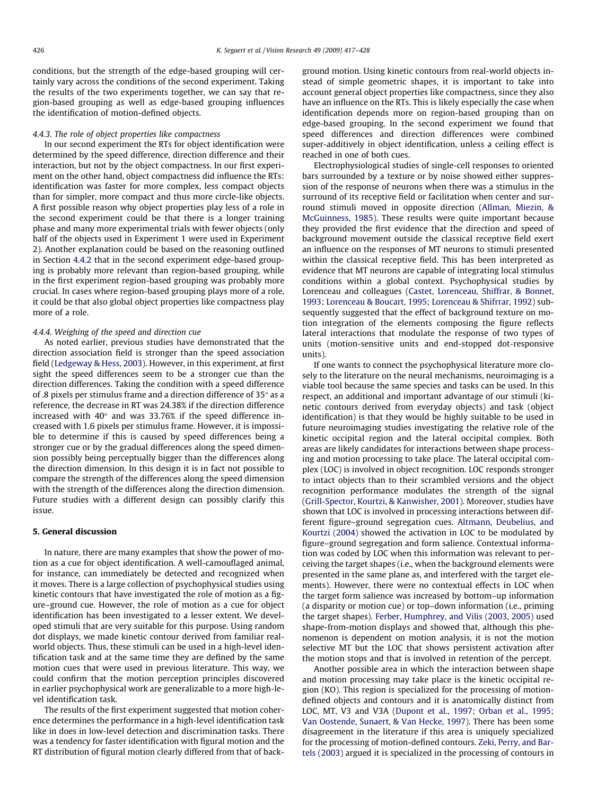<span id="page-9-0"></span>conditions, but the strength of the edge-based grouping will certainly vary across the conditions of the second experiment. Taking the results of the two experiments together, we can say that region-based grouping as well as edge-based grouping influences the identification of motion-defined objects.

#### 4.4.3. The role of object properties like compactness

In our second experiment the RTs for object identification were determined by the speed difference, direction difference and their interaction, but not by the object compactness. In our first experiment on the other hand, object compactness did influence the RTs: identification was faster for more complex, less compact objects than for simpler, more compact and thus more circle-like objects. A first possible reason why object properties play less of a role in the second experiment could be that there is a longer training phase and many more experimental trials with fewer objects (only half of the objects used in Experiment 1 were used in Experiment 2). Another explanation could be based on the reasoning outlined in Section [4.4.2](#page-8-0) that in the second experiment edge-based grouping is probably more relevant than region-based grouping, while in the first experiment region-based grouping was probably more crucial. In cases where region-based grouping plays more of a role, it could be that also global object properties like compactness play more of a role.

## 4.4.4. Weighing of the speed and direction cue

As noted earlier, previous studies have demonstrated that the direction association field is stronger than the speed association field [\(Ledgeway & Hess, 2003](#page-11-0)). However, in this experiment, at first sight the speed differences seem to be a stronger cue than the direction differences. Taking the condition with a speed difference of .8 pixels per stimulus frame and a direction difference of  $35^{\circ}$  as a reference, the decrease in RT was 24.38% if the direction difference increased with  $40^{\circ}$  and was 33.76% if the speed difference increased with 1.6 pixels per stimulus frame. However, it is impossible to determine if this is caused by speed differences being a stronger cue or by the gradual differences along the speed dimension possibly being perceptually bigger than the differences along the direction dimension. In this design it is in fact not possible to compare the strength of the differences along the speed dimension with the strength of the differences along the direction dimension. Future studies with a different design can possibly clarify this issue.

## 5. General discussion

In nature, there are many examples that show the power of motion as a cue for object identification. A well-camouflaged animal, for instance, can immediately be detected and recognized when it moves. There is a large collection of psychophysical studies using kinetic contours that have investigated the role of motion as a figure–ground cue. However, the role of motion as a cue for object identification has been investigated to a lesser extent. We developed stimuli that are very suitable for this purpose. Using random dot displays, we made kinetic contour derived from familiar realworld objects. Thus, these stimuli can be used in a high-level identification task and at the same time they are defined by the same motion cues that were used in previous literature. This way, we could confirm that the motion perception principles discovered in earlier psychophysical work are generalizable to a more high-level identification task.

The results of the first experiment suggested that motion coherence determines the performance in a high-level identification task like in does in low-level detection and discrimination tasks. There was a tendency for faster identification with figural motion and the RT distribution of figural motion clearly differed from that of background motion. Using kinetic contours from real-world objects instead of simple geometric shapes, it is important to take into account general object properties like compactness, since they also have an influence on the RTs. This is likely especially the case when identification depends more on region-based grouping than on edge-based grouping. In the second experiment we found that speed differences and direction differences were combined super-additively in object identification, unless a ceiling effect is reached in one of both cues.

Electrophysiological studies of single-cell responses to oriented bars surrounded by a texture or by noise showed either suppression of the response of neurons when there was a stimulus in the surround of its receptive field or facilitation when center and surround stimuli moved in opposite direction [\(Allman, Miezin, &](#page-10-0) [McGuinness, 1985](#page-10-0)). These results were quite important because they provided the first evidence that the direction and speed of background movement outside the classical receptive field exert an influence on the responses of MT neurons to stimuli presented within the classical receptive field. This has been interpreted as evidence that MT neurons are capable of integrating local stimulus conditions within a global context. Psychophysical studies by Lorenceau and colleagues ([Castet, Lorenceau, Shiffrar, & Bonnet,](#page-10-0) [1993; Lorenceau & Boucart, 1995; Lorenceau & Shifrrar, 1992](#page-10-0)) subsequently suggested that the effect of background texture on motion integration of the elements composing the figure reflects lateral interactions that modulate the response of two types of units (motion-sensitive units and end-stopped dot-responsive units).

If one wants to connect the psychophysical literature more closely to the literature on the neural mechanisms, neuroimaging is a viable tool because the same species and tasks can be used. In this respect, an additional and important advantage of our stimuli (kinetic contours derived from everyday objects) and task (object identification) is that they would be highly suitable to be used in future neuroimaging studies investigating the relative role of the kinetic occipital region and the lateral occipital complex. Both areas are likely candidates for interactions between shape processing and motion processing to take place. The lateral occipital complex (LOC) is involved in object recognition. LOC responds stronger to intact objects than to their scrambled versions and the object recognition performance modulates the strength of the signal ([Grill-Spector, Kourtzi, & Kanwisher, 2001\)](#page-11-0). Moreover, studies have shown that LOC is involved in processing interactions between different figure–ground segregation cues. [Altmann, Deubelius, and](#page-10-0) [Kourtzi \(2004\)](#page-10-0) showed the activation in LOC to be modulated by figure–ground segregation and form salience. Contextual information was coded by LOC when this information was relevant to perceiving the target shapes (i.e., when the background elements were presented in the same plane as, and interfered with the target elements). However, there were no contextual effects in LOC when the target form salience was increased by bottom–up information (a disparity or motion cue) or top–down information (i.e., priming the target shapes). [Ferber, Humphrey, and Vilis \(2003, 2005\)](#page-11-0) used shape-from-motion displays and showed that, although this phenomenon is dependent on motion analysis, it is not the motion selective MT but the LOC that shows persistent activation after the motion stops and that is involved in retention of the percept.

Another possible area in which the interaction between shape and motion processing may take place is the kinetic occipital region (KO). This region is specialized for the processing of motiondefined objects and contours and it is anatomically distinct from LOC, MT, V3 and V3A ([Dupont et al., 1997; Orban et al., 1995;](#page-10-0) [Van Oostende, Sunaert, & Van Hecke, 1997\)](#page-10-0). There has been some disagreement in the literature if this area is uniquely specialized for the processing of motion-defined contours. [Zeki, Perry, and Bar](#page-11-0)[tels \(2003\)](#page-11-0) argued it is specialized in the processing of contours in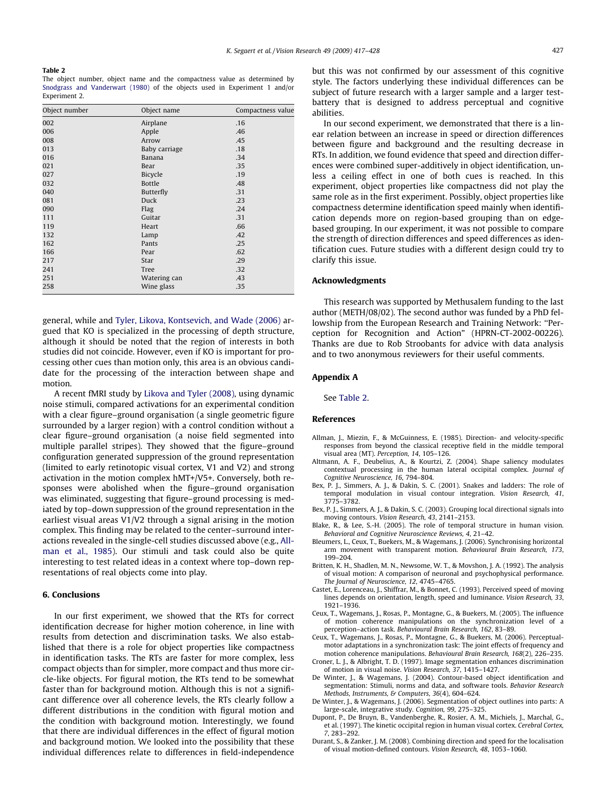#### <span id="page-10-0"></span>Table 2

The object number, object name and the compactness value as determined by [Snodgrass and Vanderwart \(1980\)](#page-11-0) of the objects used in Experiment 1 and/or Experiment 2.

| Object number | Object name   | Compactness value |
|---------------|---------------|-------------------|
| 002           | Airplane      | .16               |
| 006           | Apple         | .46               |
| 008           | Arrow         | .45               |
| 013           | Baby carriage | .18               |
| 016           | Banana        | .34               |
| 021           | Bear          | .35               |
| 027           | Bicycle       | .19               |
| 032           | <b>Bottle</b> | .48               |
| 040           | Butterfly     | .31               |
| 081           | Duck          | .23               |
| 090           | <b>Flag</b>   | .24               |
| 111           | Guitar        | .31               |
| 119           | Heart         | .66               |
| 132           | Lamp          | .42               |
| 162           | Pants         | .25               |
| 166           | Pear          | .62               |
| 217           | Star          | .29               |
| 241           | Tree          | .32               |
| 251           | Watering can  | .43               |
| 258           | Wine glass    | .35               |

general, while and [Tyler, Likova, Kontsevich, and Wade \(2006\)](#page-11-0) argued that KO is specialized in the processing of depth structure, although it should be noted that the region of interests in both studies did not coincide. However, even if KO is important for processing other cues than motion only, this area is an obvious candidate for the processing of the interaction between shape and motion.

A recent fMRI study by [Likova and Tyler \(2008\),](#page-11-0) using dynamic noise stimuli, compared activations for an experimental condition with a clear figure–ground organisation (a single geometric figure surrounded by a larger region) with a control condition without a clear figure–ground organisation (a noise field segmented into multiple parallel stripes). They showed that the figure–ground configuration generated suppression of the ground representation (limited to early retinotopic visual cortex, V1 and V2) and strong activation in the motion complex hMT+/V5+. Conversely, both responses were abolished when the figure–ground organisation was eliminated, suggesting that figure–ground processing is mediated by top–down suppression of the ground representation in the earliest visual areas V1/V2 through a signal arising in the motion complex. This finding may be related to the center–surround interactions revealed in the single-cell studies discussed above (e.g., Allman et al., 1985). Our stimuli and task could also be quite interesting to test related ideas in a context where top–down representations of real objects come into play.

#### 6. Conclusions

In our first experiment, we showed that the RTs for correct identification decrease for higher motion coherence, in line with results from detection and discrimination tasks. We also established that there is a role for object properties like compactness in identification tasks. The RTs are faster for more complex, less compact objects than for simpler, more compact and thus more circle-like objects. For figural motion, the RTs tend to be somewhat faster than for background motion. Although this is not a significant difference over all coherence levels, the RTs clearly follow a different distributions in the condition with figural motion and the condition with background motion. Interestingly, we found that there are individual differences in the effect of figural motion and background motion. We looked into the possibility that these individual differences relate to differences in field-independence

but this was not confirmed by our assessment of this cognitive style. The factors underlying these individual differences can be subject of future research with a larger sample and a larger testbattery that is designed to address perceptual and cognitive abilities.

In our second experiment, we demonstrated that there is a linear relation between an increase in speed or direction differences between figure and background and the resulting decrease in RTs. In addition, we found evidence that speed and direction differences were combined super-additively in object identification, unless a ceiling effect in one of both cues is reached. In this experiment, object properties like compactness did not play the same role as in the first experiment. Possibly, object properties like compactness determine identification speed mainly when identification depends more on region-based grouping than on edgebased grouping. In our experiment, it was not possible to compare the strength of direction differences and speed differences as identification cues. Future studies with a different design could try to clarify this issue.

#### Acknowledgments

This research was supported by Methusalem funding to the last author (METH/08/02). The second author was funded by a PhD fellowship from the European Research and Training Network: ''Perception for Recognition and Action" (HPRN-CT-2002-00226). Thanks are due to Rob Stroobants for advice with data analysis and to two anonymous reviewers for their useful comments.

#### Appendix A

See Table 2.

#### References

- Allman, J., Miezin, F., & McGuinness, E. (1985). Direction- and velocity-specific responses from beyond the classical receptive field in the middle temporal visual area (MT). Perception, 14, 105–126.
- Altmann, A. F., Deubelius, A., & Kourtzi, Z. (2004). Shape saliency modulates contextual processing in the human lateral occipital complex. Journal of Cognitive Neuroscience, 16, 794–804.
- Bex, P. J., Simmers, A. J., & Dakin, S. C. (2001). Snakes and ladders: The role of temporal modulation in visual contour integration. Vision Research, 41, 3775–3782.
- Bex, P. J., Simmers, A. J., & Dakin, S. C. (2003). Grouping local directional signals into moving contours. Vision Research, 43, 2141–2153.
- Blake, R., & Lee, S.-H. (2005). The role of temporal structure in human vision. Behavioral and Cognitive Neuroscience Reviews, 4, 21–42.
- Bleumers, L., Ceux, T., Buekers, M., & Wagemans, J. (2006). Synchronising horizontal arm movement with transparent motion. Behavioural Brain Research, 173, 199–204.
- Britten, K. H., Shadlen, M. N., Newsome, W. T., & Movshon, J. A. (1992). The analysis of visual motion: A comparison of neuronal and psychophysical performance. The Journal of Neuroscience, 12, 4745–4765.
- Castet, E., Lorenceau, J., Shiffrar, M., & Bonnet, C. (1993). Perceived speed of moving lines depends on orientation, length, speed and luminance. Vision Research, 33, 1921–1936.
- Ceux, T., Wagemans, J., Rosas, P., Montagne, G., & Buekers, M. (2005). The influence of motion coherence manipulations on the synchronization level of a perception–action task. Behavioural Brain Research, 162, 83–89.
- Ceux, T., Wagemans, J., Rosas, P., Montagne, G., & Buekers, M. (2006). Perceptualmotor adaptations in a synchronization task: The joint effects of frequency and motion coherence manipulations. Behavioural Brain Research, 168(2), 226–235.
- Croner, L. J., & Albright, T. D. (1997). Image segmentation enhances discrimination of motion in visual noise. Vision Research, 37, 1415–1427.
- De Winter, J., & Wagemans, J. (2004). Contour-based object identification and segmentation: Stimuli, norms and data, and software tools. Behavior Research Methods, Instruments, & Computers, 36(4), 604–624.
- De Winter, J., & Wagemans, J. (2006). Segmentation of object outlines into parts: A large-scale, integrative study. Cognition, 99, 275–325.
- Dupont, P., De Bruyn, B., Vandenberghe, R., Rosier, A. M., Michiels, J., Marchal, G., et al. (1997). The kinetic occipital region in human visual cortex. Cerebral Cortex, 7, 283–292.
- Durant, S., & Zanker, J. M. (2008). Combining direction and speed for the localisation of visual motion-defined contours. Vision Research, 48, 1053–1060.